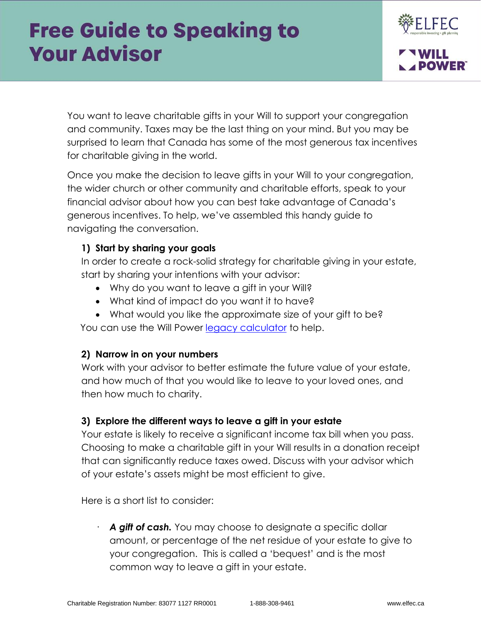

You want to leave charitable gifts in your Will to support your congregation and community. Taxes may be the last thing on your mind. But you may be surprised to learn that Canada has some of the most generous tax incentives for charitable giving in the world.

Once you make the decision to leave gifts in your Will to your congregation, the wider church or other community and charitable efforts, speak to your financial advisor about how you can best take advantage of Canada's generous incentives. To help, we've assembled this handy guide to navigating the conversation.

## **1) Start by sharing your goals**

In order to create a rock-solid strategy for charitable giving in your estate, start by sharing your intentions with your advisor:

- Why do you want to leave a gift in your Will?
- What kind of impact do you want it to have?
- What would you like the approximate size of your gift to be?

You can use the Will Power [legacy calculator](https://www.willpower.ca/legacy-calculator/) to help.

## **2) Narrow in on your numbers**

Work with your advisor to better estimate the future value of your estate, and how much of that you would like to leave to your loved ones, and then how much to charity.

## **3) Explore the different ways to leave a gift in your estate**

Your estate is likely to receive a significant income tax bill when you pass. Choosing to make a charitable gift in your Will results in a donation receipt that can significantly reduce taxes owed. Discuss with your advisor which of your estate's assets might be most efficient to give.

Here is a short list to consider:

A gift of cash. You may choose to designate a specific dollar amount, or percentage of the net residue of your estate to give to your congregation. This is called a 'bequest' and is the most common way to leave a gift in your estate.